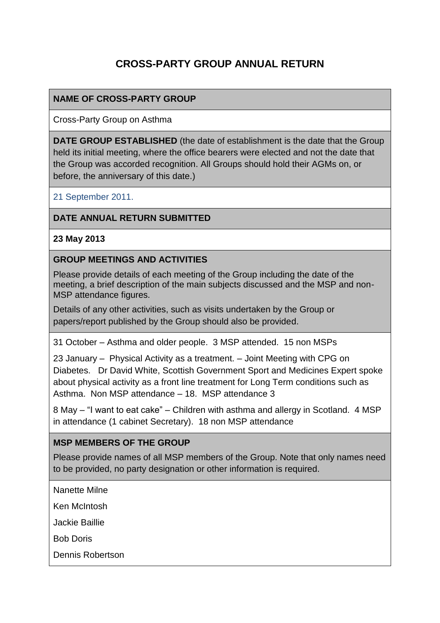# **CROSS-PARTY GROUP ANNUAL RETURN**

## **NAME OF CROSS-PARTY GROUP**

Cross-Party Group on Asthma

**DATE GROUP ESTABLISHED** (the date of establishment is the date that the Group held its initial meeting, where the office bearers were elected and not the date that the Group was accorded recognition. All Groups should hold their AGMs on, or before, the anniversary of this date.)

21 September 2011.

#### **DATE ANNUAL RETURN SUBMITTED**

#### **23 May 2013**

#### **GROUP MEETINGS AND ACTIVITIES**

Please provide details of each meeting of the Group including the date of the meeting, a brief description of the main subjects discussed and the MSP and non-MSP attendance figures.

Details of any other activities, such as visits undertaken by the Group or papers/report published by the Group should also be provided.

31 October – Asthma and older people. 3 MSP attended. 15 non MSPs

23 January – Physical Activity as a treatment. – Joint Meeting with CPG on Diabetes. Dr David White, Scottish Government Sport and Medicines Expert spoke about physical activity as a front line treatment for Long Term conditions such as Asthma. Non MSP attendance – 18. MSP attendance 3

8 May – "I want to eat cake" – Children with asthma and allergy in Scotland. 4 MSP in attendance (1 cabinet Secretary). 18 non MSP attendance

#### **MSP MEMBERS OF THE GROUP**

Please provide names of all MSP members of the Group. Note that only names need to be provided, no party designation or other information is required.

Nanette Milne

Ken McIntosh

Jackie Baillie

Bob Doris

Dennis Robertson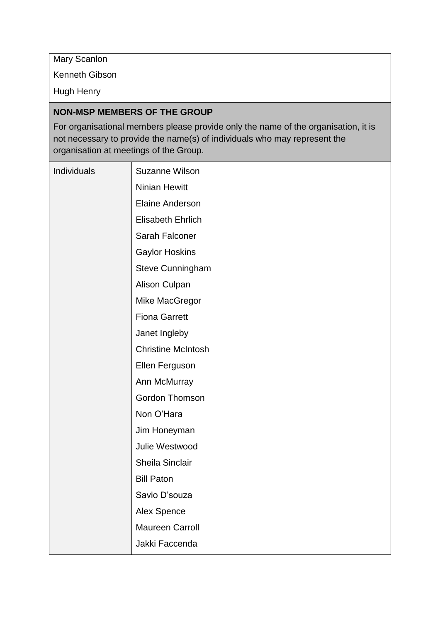Mary Scanlon

Kenneth Gibson

Hugh Henry

## **NON-MSP MEMBERS OF THE GROUP**

For organisational members please provide only the name of the organisation, it is not necessary to provide the name(s) of individuals who may represent the organisation at meetings of the Group.

| Individuals | <b>Suzanne Wilson</b>     |
|-------------|---------------------------|
|             | <b>Ninian Hewitt</b>      |
|             | <b>Elaine Anderson</b>    |
|             | Elisabeth Ehrlich         |
|             | Sarah Falconer            |
|             | <b>Gaylor Hoskins</b>     |
|             | Steve Cunningham          |
|             | <b>Alison Culpan</b>      |
|             | Mike MacGregor            |
|             | <b>Fiona Garrett</b>      |
|             | Janet Ingleby             |
|             | <b>Christine McIntosh</b> |
|             | Ellen Ferguson            |
|             | Ann McMurray              |
|             | <b>Gordon Thomson</b>     |
|             | Non O'Hara                |
|             | Jim Honeyman              |
|             | Julie Westwood            |
|             | Sheila Sinclair           |
|             | <b>Bill Paton</b>         |
|             | Savio D'souza             |
|             | Alex Spence               |
|             | <b>Maureen Carroll</b>    |
|             | Jakki Faccenda            |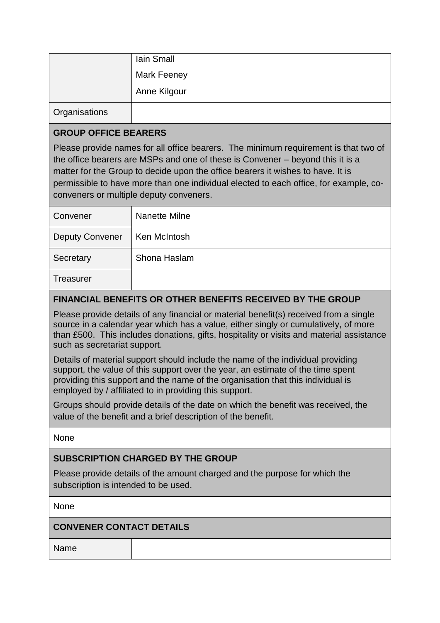|                      | Iain Small         |
|----------------------|--------------------|
|                      | <b>Mark Feeney</b> |
|                      | Anne Kilgour       |
| <b>Organisations</b> |                    |

## **GROUP OFFICE BEARERS**

Please provide names for all office bearers. The minimum requirement is that two of the office bearers are MSPs and one of these is Convener – beyond this it is a matter for the Group to decide upon the office bearers it wishes to have. It is permissible to have more than one individual elected to each office, for example, coconveners or multiple deputy conveners.

| Convener               | Nanette Milne |
|------------------------|---------------|
| <b>Deputy Convener</b> | Ken McIntosh  |
| Secretary              | Shona Haslam  |
| <b>Treasurer</b>       |               |

## **FINANCIAL BENEFITS OR OTHER BENEFITS RECEIVED BY THE GROUP**

Please provide details of any financial or material benefit(s) received from a single source in a calendar year which has a value, either singly or cumulatively, of more than £500. This includes donations, gifts, hospitality or visits and material assistance such as secretariat support.

Details of material support should include the name of the individual providing support, the value of this support over the year, an estimate of the time spent providing this support and the name of the organisation that this individual is employed by / affiliated to in providing this support.

Groups should provide details of the date on which the benefit was received, the value of the benefit and a brief description of the benefit.

None

#### **SUBSCRIPTION CHARGED BY THE GROUP**

Please provide details of the amount charged and the purpose for which the subscription is intended to be used.

None

#### **CONVENER CONTACT DETAILS**

Name